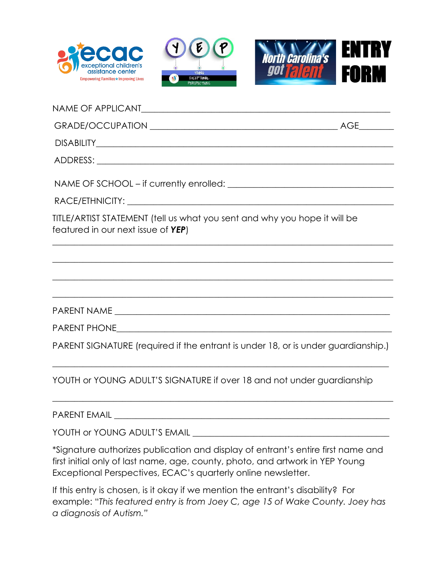





| TITLE/ARTIST STATEMENT (fell us what you sent and why you hope it will be<br>featured in our next issue of YEP)                                                                                |  |
|------------------------------------------------------------------------------------------------------------------------------------------------------------------------------------------------|--|
| <u> 1999 - Jan James James James James James James James James James James James James James James James James J</u>                                                                           |  |
|                                                                                                                                                                                                |  |
| <u> 1989 - Johann John Stone, mars and deutscher Stone (1989)</u>                                                                                                                              |  |
|                                                                                                                                                                                                |  |
|                                                                                                                                                                                                |  |
| PARENT SIGNATURE (required if the entrant is under 18, or is under guardianship.)                                                                                                              |  |
| <u> 1989 - Johann John Harry Barn, amerikan basar basar dan basa dan basa dan basa dan basa dan basa dan basa da</u><br>YOUTH or YOUNG ADULT'S SIGNATURE if over 18 and not under guardianship |  |
|                                                                                                                                                                                                |  |

YOUTH or YOUNG ADULT'S EMAIL

\*Signature authorizes publication and display of entrant's entire first name and first initial only of last name, age, county, photo, and artwork in YEP Young Exceptional Perspectives, ECAC's quarterly online newsletter.

If this entry is chosen, is it okay if we mention the entrant's disability? For example: "*This featured entry is from Joey C, age 15 of Wake County. Joey has a diagnosis of Autism."*